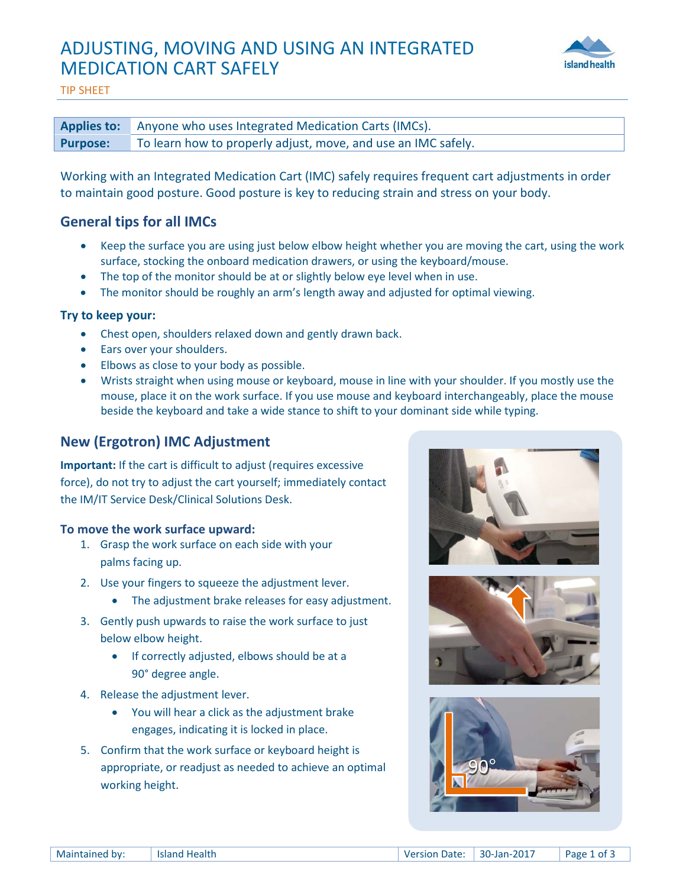# ADJUSTING, MOVING AND USING AN INTEGRATED MEDICATION CART SAFELY



TIP SHEET

|                 | <b>Applies to:</b> Anyone who uses Integrated Medication Carts (IMCs). |
|-----------------|------------------------------------------------------------------------|
| <b>Purpose:</b> | To learn how to properly adjust, move, and use an IMC safely.          |

Working with an Integrated Medication Cart (IMC) safely requires frequent cart adjustments in order to maintain good posture. Good posture is key to reducing strain and stress on your body.

# **General tips for all IMCs**

- Keep the surface you are using just below elbow height whether you are moving the cart, using the work surface, stocking the onboard medication drawers, or using the keyboard/mouse.
- The top of the monitor should be at or slightly below eye level when in use.
- The monitor should be roughly an arm's length away and adjusted for optimal viewing.

### **Try to keep your:**

- Chest open, shoulders relaxed down and gently drawn back.
- Ears over your shoulders.
- Elbows as close to your body as possible.
- Wrists straight when using mouse or keyboard, mouse in line with your shoulder. If you mostly use the mouse, place it on the work surface. If you use mouse and keyboard interchangeably, place the mouse beside the keyboard and take a wide stance to shift to your dominant side while typing.

# **New (Ergotron) IMC Adjustment**

**Important:** If the cart is difficult to adjust (requires excessive force), do not try to adjust the cart yourself; immediately contact the IM/IT Service Desk/Clinical Solutions Desk.

## **To move the work surface upward:**

- 1. Grasp the work surface on each side with your palms facing up.
- 2. Use your fingers to squeeze the adjustment lever.
	- The adjustment brake releases for easy adjustment.
- 3. Gently push upwards to raise the work surface to just below elbow height.
	- If correctly adjusted, elbows should be at a 90° degree angle.
- 4. Release the adjustment lever.
	- You will hear a click as the adjustment brake engages, indicating it is locked in place.
- 5. Confirm that the work surface or keyboard height is appropriate, or readjust as needed to achieve an optimal working height.





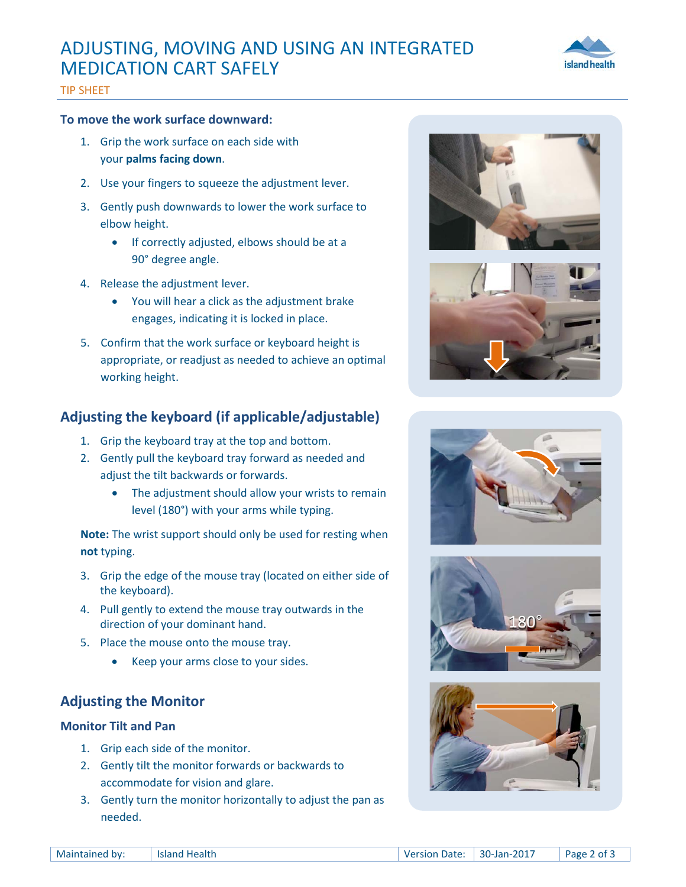# ADJUSTING, MOVING AND USING AN INTEGRATED MEDICATION CART SAFELY



### TIP SHEET

#### **To move the work surface downward:**

- 1. Grip the work surface on each side with your **palms facing down**.
- 2. Use your fingers to squeeze the adjustment lever.
- 3. Gently push downwards to lower the work surface to elbow height.
	- If correctly adjusted, elbows should be at a 90° degree angle.
- 4. Release the adjustment lever.
	- You will hear a click as the adjustment brake engages, indicating it is locked in place.
- 5. Confirm that the work surface or keyboard height is appropriate, or readjust as needed to achieve an optimal working height.

## **Adjusting the keyboard (if applicable/adjustable)**

- 1. Grip the keyboard tray at the top and bottom.
- 2. Gently pull the keyboard tray forward as needed and adjust the tilt backwards or forwards.
	- The adjustment should allow your wrists to remain level (180°) with your arms while typing.

**Note:** The wrist support should only be used for resting when **not** typing.

- 3. Grip the edge of the mouse tray (located on either side of the keyboard).
- 4. Pull gently to extend the mouse tray outwards in the direction of your dominant hand.
- 5. Place the mouse onto the mouse tray.
	- Keep your arms close to your sides.

## **Adjusting the Monitor**

### **Monitor Tilt and Pan**

- 1. Grip each side of the monitor.
- 2. Gently tilt the monitor forwards or backwards to accommodate for vision and glare.
- 3. Gently turn the monitor horizontally to adjust the pan as needed.